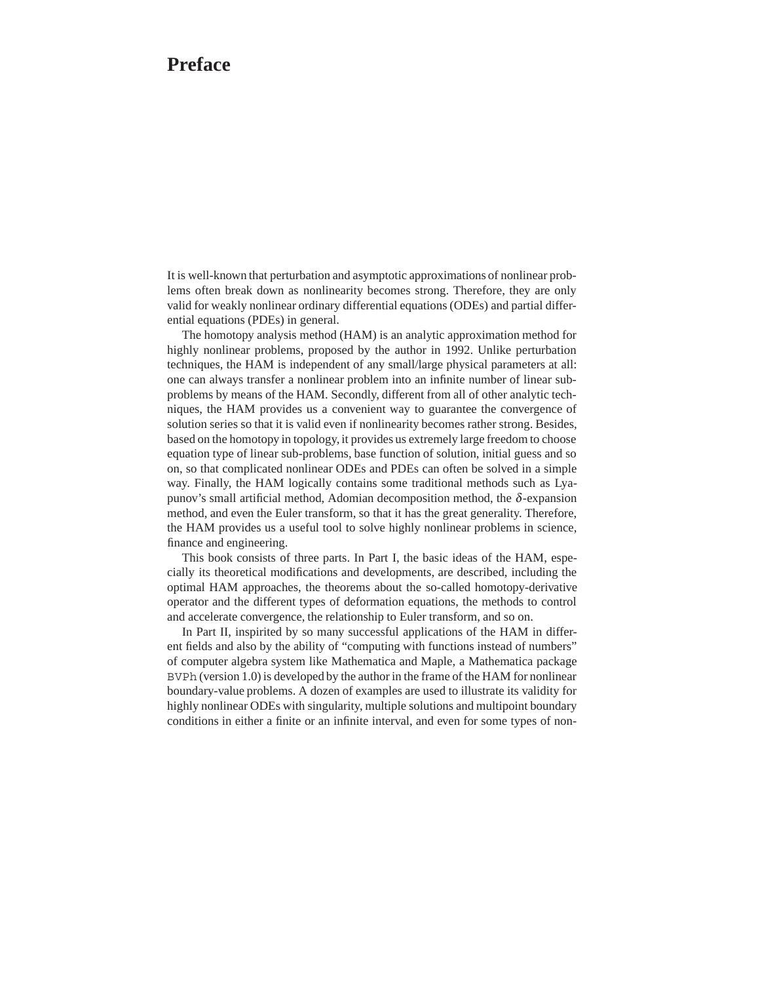## **Preface**

It is well-known that perturbation and asymptotic approximations of nonlinear problems often break down as nonlinearity becomes strong. Therefore, they are only valid for weakly nonlinear ordinary differential equations (ODEs) and partial differential equations (PDEs) in general.

The homotopy analysis method (HAM) is an analytic approximation method for highly nonlinear problems, proposed by the author in 1992. Unlike perturbation techniques, the HAM is independent of any small/large physical parameters at all: one can always transfer a nonlinear problem into an infinite number of linear subproblems by means of the HAM. Secondly, different from all of other analytic techniques, the HAM provides us a convenient way to guarantee the convergence of solution series so that it is valid even if nonlinearity becomes rather strong. Besides, based on the homotopy in topology, it provides us extremely large freedom to choose equation type of linear sub-problems, base function of solution, initial guess and so on, so that complicated nonlinear ODEs and PDEs can often be solved in a simple way. Finally, the HAM logically contains some traditional methods such as Lyapunov's small artificial method, Adomian decomposition method, the  $\delta$ -expansion method, and even the Euler transform, so that it has the great generality. Therefore, the HAM provides us a useful tool to solve highly nonlinear problems in science, finance and engineering.

This book consists of three parts. In Part I, the basic ideas of the HAM, especially its theoretical modifications and developments, are described, including the optimal HAM approaches, the theorems about the so-called homotopy-derivative operator and the different types of deformation equations, the methods to control and accelerate convergence, the relationship to Euler transform, and so on.

In Part II, inspirited by so many successful applications of the HAM in different fields and also by the ability of "computing with functions instead of numbers" of computer algebra system like Mathematica and Maple, a Mathematica package BVPh (version 1.0) is developed by the author in the frame of the HAM for nonlinear boundary-value problems. A dozen of examples are used to illustrate its validity for highly nonlinear ODEs with singularity, multiple solutions and multipoint boundary conditions in either a finite or an infinite interval, and even for some types of non